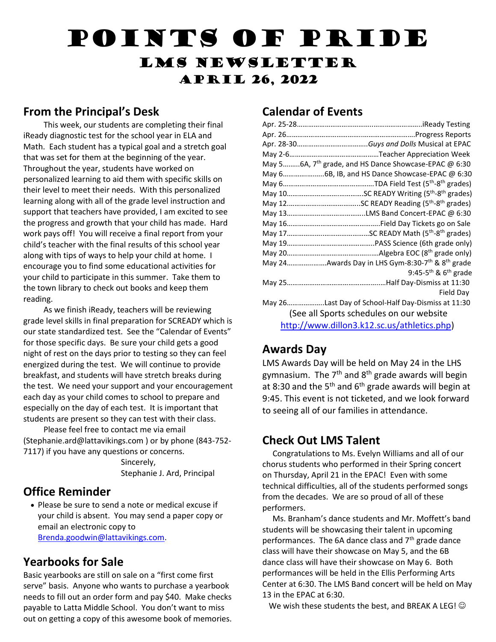# Points of Pride LMS Newsletter April 26, 2022

#### **From the Principal's Desk**

 This week, our students are completing their final iReady diagnostic test for the school year in ELA and Math. Each student has a typical goal and a stretch goal that was set for them at the beginning of the year. Throughout the year, students have worked on personalized learning to aid them with specific skills on their level to meet their needs. With this personalized learning along with all of the grade level instruction and support that teachers have provided, I am excited to see the progress and growth that your child has made. Hard work pays off! You will receive a final report from your child's teacher with the final results of this school year along with tips of ways to help your child at home. I encourage you to find some educational activities for your child to participate in this summer. Take them to the town library to check out books and keep them reading.

 As we finish iReady, teachers will be reviewing grade level skills in final preparation for SCREADY which is our state standardized test. See the "Calendar of Events" for those specific days. Be sure your child gets a good night of rest on the days prior to testing so they can feel energized during the test. We will continue to provide breakfast, and students will have stretch breaks during the test. We need your support and your encouragement each day as your child comes to school to prepare and especially on the day of each test. It is important that students are present so they can test with their class.

 Please feel free to contact me via email (Stephanie.ard@lattavikings.com ) or by phone (843-752- 7117) if you have any questions or concerns.

 Sincerely, Stephanie J. Ard, Principal

## **Office Reminder**

 Please be sure to send a note or medical excuse if your child is absent. You may send a paper copy or email an electronic copy to [Brenda.goodwin@lattavikings.com.](mailto:Brenda.goodwin@lattavikings.com)

#### **Yearbooks for Sale**

Basic yearbooks are still on sale on a "first come first serve" basis. Anyone who wants to purchase a yearbook needs to fill out an order form and pay \$40. Make checks payable to Latta Middle School. You don't want to miss out on getting a copy of this awesome book of memories.

## **Calendar of Events**

| May 56A, $7th$ grade, and HS Dance Showcase-EPAC @ 6:30                  |
|--------------------------------------------------------------------------|
|                                                                          |
|                                                                          |
|                                                                          |
|                                                                          |
|                                                                          |
|                                                                          |
|                                                                          |
|                                                                          |
|                                                                          |
| May 24Awards Day in LHS Gym-8:30-7 <sup>th</sup> & 8 <sup>th</sup> grade |
| 9:45-5 <sup>th</sup> & $6th$ grade                                       |
|                                                                          |
| Field Day                                                                |
| May 26Last Day of School-Half Day-Dismiss at 11:30                       |
| (See all Sports schedules on our website                                 |
| http://www.dillon3.k12.sc.us/athletics.php)                              |
|                                                                          |

#### **Awards Day**

LMS Awards Day will be held on May 24 in the LHS gymnasium. The  $7<sup>th</sup>$  and  $8<sup>th</sup>$  grade awards will begin at 8:30 and the 5<sup>th</sup> and 6<sup>th</sup> grade awards will begin at 9:45. This event is not ticketed, and we look forward to seeing all of our families in attendance.

## **Check Out LMS Talent**

 Congratulations to Ms. Evelyn Williams and all of our chorus students who performed in their Spring concert on Thursday, April 21 in the EPAC! Even with some technical difficulties, all of the students performed songs from the decades. We are so proud of all of these performers.

 Ms. Branham's dance students and Mr. Moffett's band students will be showcasing their talent in upcoming performances. The 6A dance class and 7<sup>th</sup> grade dance class will have their showcase on May 5, and the 6B dance class will have their showcase on May 6. Both performances will be held in the Ellis Performing Arts Center at 6:30. The LMS Band concert will be held on May 13 in the EPAC at 6:30.

We wish these students the best, and BREAK A LEG!  $\odot$